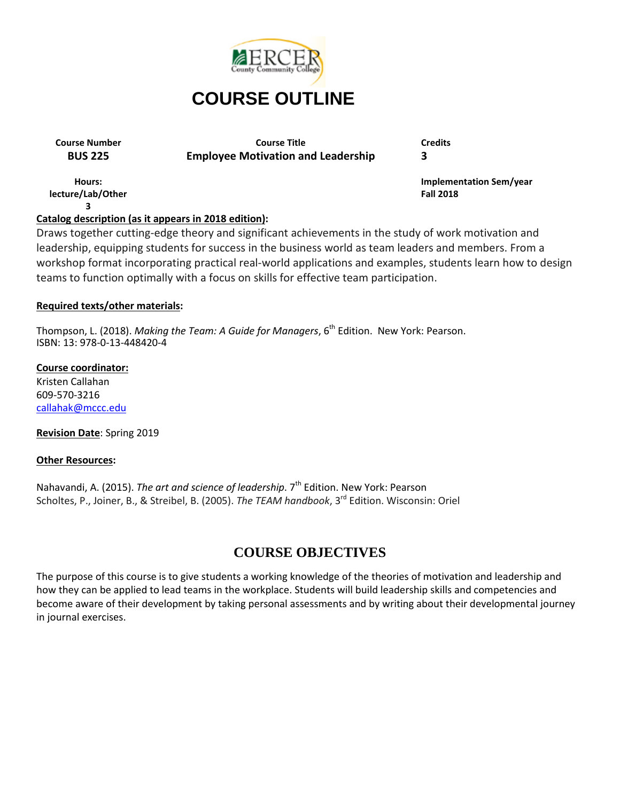

**Course Number Course Title Credits BUS 225 Employee Motivation and Leadership 3**

**Hours: lecture/Lab/Other 3**

**Implementation Sem/year Fall 2018**

# **Catalog description (as it appears in 2018 edition):**

Draws together cutting-edge theory and significant achievements in the study of work motivation and leadership, equipping students for success in the business world as team leaders and members. From a workshop format incorporating practical real-world applications and examples, students learn how to design teams to function optimally with a focus on skills for effective team participation.

## **Required texts/other materials:**

Thompson, L. (2018). *Making the Team: A Guide for Managers*, 6<sup>th</sup> Edition. New York: Pearson. ISBN: 13: 978-0-13-448420-4

#### **Course coordinator:**

Kristen Callahan 609-570-3216 [callahak@mccc.edu](mailto:callahak@mccc.edu)

#### **Revision Date**: Spring 2019

#### **Other Resources:**

Nahavandi, A. (2015). *The art and science of leadership*. 7<sup>th</sup> Edition. New York: Pearson Scholtes, P., Joiner, B., & Streibel, B. (2005). *The TEAM handbook*, 3<sup>rd</sup> Edition. Wisconsin: Oriel

# **COURSE OBJECTIVES**

The purpose of this course is to give students a working knowledge of the theories of motivation and leadership and how they can be applied to lead teams in the workplace. Students will build leadership skills and competencies and become aware of their development by taking personal assessments and by writing about their developmental journey in journal exercises.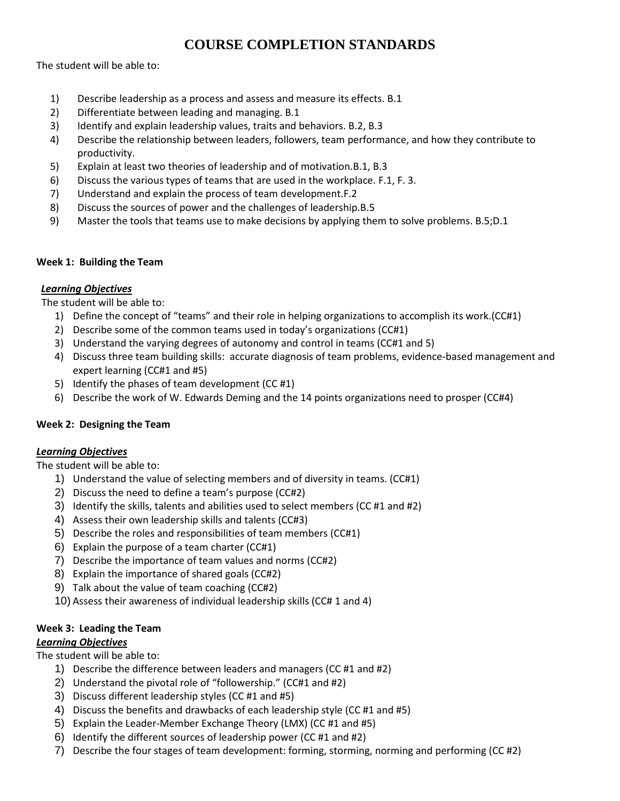# **COURSE COMPLETION STANDARDS**

The student will be able to:

- 1) Describe leadership as a process and assess and measure its effects. B.1
- 2) Differentiate between leading and managing. B.1
- 3) Identify and explain leadership values, traits and behaviors. B.2, B.3
- 4) Describe the relationship between leaders, followers, team performance, and how they contribute to productivity.
- 5) Explain at least two theories of leadership and of motivation.B.1, B.3
- 6) Discuss the various types of teams that are used in the workplace. F.1, F. 3.
- 7) Understand and explain the process of team development.F.2
- 8) Discuss the sources of power and the challenges of leadership.B.5
- 9) Master the tools that teams use to make decisions by applying them to solve problems. B.5;D.1

#### **Week 1: Building the Team**

## *Learning Objectives*

The student will be able to:

- 1) Define the concept of "teams" and their role in helping organizations to accomplish its work.(CC#1)
- 2) Describe some of the common teams used in today's organizations (CC#1)
- 3) Understand the varying degrees of autonomy and control in teams (CC#1 and 5)
- 4) Discuss three team building skills: accurate diagnosis of team problems, evidence-based management and expert learning (CC#1 and #5)
- 5) Identify the phases of team development (CC #1)
- 6) Describe the work of W. Edwards Deming and the 14 points organizations need to prosper (CC#4)

# **Week 2: Designing the Team**

#### *Learning Objectives*

The student will be able to:

- 1) Understand the value of selecting members and of diversity in teams. (CC#1)
- 2) Discuss the need to define a team's purpose (CC#2)
- 3) Identify the skills, talents and abilities used to select members (CC #1 and #2)
- 4) Assess their own leadership skills and talents (CC#3)
- 5) Describe the roles and responsibilities of team members (CC#1)
- 6) Explain the purpose of a team charter (CC#1)
- 7) Describe the importance of team values and norms (CC#2)
- 8) Explain the importance of shared goals (CC#2)
- 9) Talk about the value of team coaching (CC#2)
- 10) Assess their awareness of individual leadership skills (CC# 1 and 4)

# **Week 3: Leading the Team**

#### *Learning Objectives*

The student will be able to:

- 1) Describe the difference between leaders and managers (CC #1 and #2)
- 2) Understand the pivotal role of "followership." (CC#1 and #2)
- 3) Discuss different leadership styles (CC #1 and #5)
- 4) Discuss the benefits and drawbacks of each leadership style (CC #1 and #5)
- 5) Explain the Leader-Member Exchange Theory (LMX) (CC #1 and #5)
- 6) Identify the different sources of leadership power (CC #1 and #2)
- 7) Describe the four stages of team development: forming, storming, norming and performing (CC #2)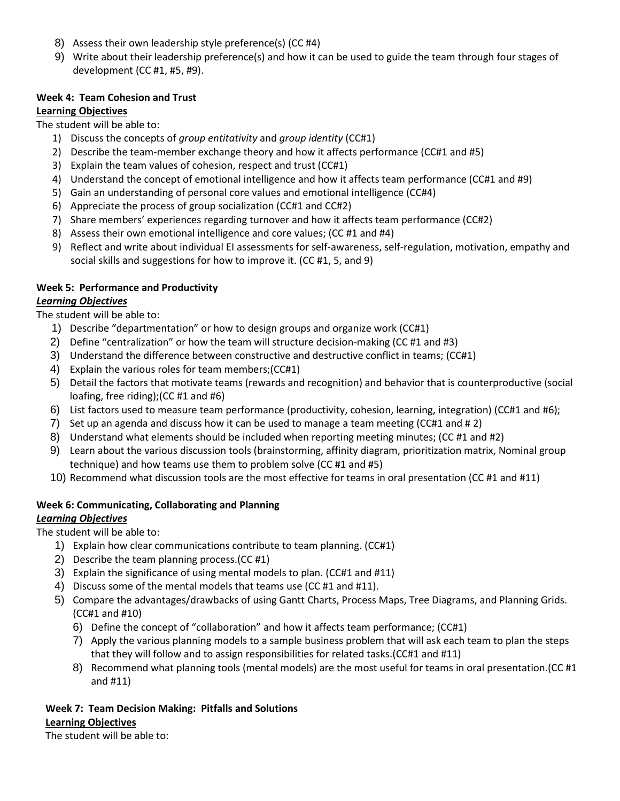- 8) Assess their own leadership style preference(s) (CC #4)
- 9) Write about their leadership preference(s) and how it can be used to guide the team through four stages of development (CC #1, #5, #9).

#### **Week 4: Team Cohesion and Trust**

#### **Learning Objectives**

The student will be able to:

- 1) Discuss the concepts of *group entitativity* and *group identity* (CC#1)
- 2) Describe the team-member exchange theory and how it affects performance (CC#1 and #5)
- 3) Explain the team values of cohesion, respect and trust (CC#1)
- 4) Understand the concept of emotional intelligence and how it affects team performance (CC#1 and #9)
- 5) Gain an understanding of personal core values and emotional intelligence (CC#4)
- 6) Appreciate the process of group socialization (CC#1 and CC#2)
- 7) Share members' experiences regarding turnover and how it affects team performance (CC#2)
- 8) Assess their own emotional intelligence and core values; (CC #1 and #4)
- 9) Reflect and write about individual EI assessments for self-awareness, self-regulation, motivation, empathy and social skills and suggestions for how to improve it. (CC #1, 5, and 9)

#### **Week 5: Performance and Productivity**

#### *Learning Objectives*

The student will be able to:

- 1) Describe "departmentation" or how to design groups and organize work (CC#1)
- 2) Define "centralization" or how the team will structure decision-making (CC #1 and #3)
- 3) Understand the difference between constructive and destructive conflict in teams; (CC#1)
- 4) Explain the various roles for team members;(CC#1)
- 5) Detail the factors that motivate teams (rewards and recognition) and behavior that is counterproductive (social loafing, free riding);(CC #1 and #6)
- 6) List factors used to measure team performance (productivity, cohesion, learning, integration) (CC#1 and #6);
- 7) Set up an agenda and discuss how it can be used to manage a team meeting (CC#1 and # 2)
- 8) Understand what elements should be included when reporting meeting minutes; (CC #1 and #2)
- 9) Learn about the various discussion tools (brainstorming, affinity diagram, prioritization matrix, Nominal group technique) and how teams use them to problem solve (CC #1 and #5)
- 10) Recommend what discussion tools are the most effective for teams in oral presentation (CC #1 and #11)

#### **Week 6: Communicating, Collaborating and Planning**

#### *Learning Objectives*

The student will be able to:

- 1) Explain how clear communications contribute to team planning. (CC#1)
- 2) Describe the team planning process.(CC #1)
- 3) Explain the significance of using mental models to plan. (CC#1 and #11)
- 4) Discuss some of the mental models that teams use (CC #1 and #11).
- 5) Compare the advantages/drawbacks of using Gantt Charts, Process Maps, Tree Diagrams, and Planning Grids. (CC#1 and #10)
	- 6) Define the concept of "collaboration" and how it affects team performance; (CC#1)
	- 7) Apply the various planning models to a sample business problem that will ask each team to plan the steps that they will follow and to assign responsibilities for related tasks.(CC#1 and #11)
	- 8) Recommend what planning tools (mental models) are the most useful for teams in oral presentation.(CC #1 and #11)

#### **Week 7: Team Decision Making: Pitfalls and Solutions Learning Objectives**

The student will be able to: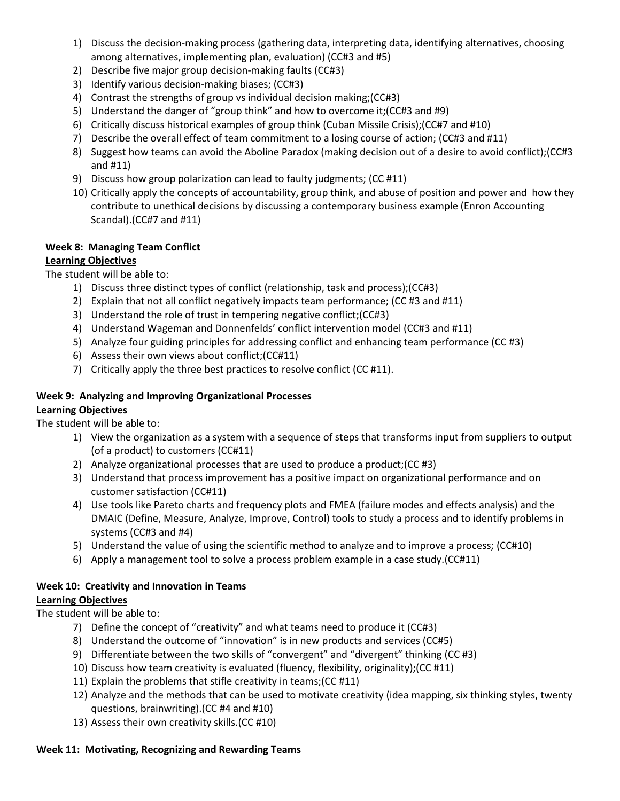- 1) Discuss the decision-making process (gathering data, interpreting data, identifying alternatives, choosing among alternatives, implementing plan, evaluation) (CC#3 and #5)
- 2) Describe five major group decision-making faults (CC#3)
- 3) Identify various decision-making biases; (CC#3)
- 4) Contrast the strengths of group vs individual decision making;(CC#3)
- 5) Understand the danger of "group think" and how to overcome it;(CC#3 and #9)
- 6) Critically discuss historical examples of group think (Cuban Missile Crisis);(CC#7 and #10)
- 7) Describe the overall effect of team commitment to a losing course of action; (CC#3 and #11)
- 8) Suggest how teams can avoid the Aboline Paradox (making decision out of a desire to avoid conflict);(CC#3 and #11)
- 9) Discuss how group polarization can lead to faulty judgments; (CC #11)
- 10) Critically apply the concepts of accountability, group think, and abuse of position and power and how they contribute to unethical decisions by discussing a contemporary business example (Enron Accounting Scandal).(CC#7 and #11)

## **Week 8: Managing Team Conflict**

#### **Learning Objectives**

The student will be able to:

- 1) Discuss three distinct types of conflict (relationship, task and process);(CC#3)
- 2) Explain that not all conflict negatively impacts team performance; (CC #3 and #11)
- 3) Understand the role of trust in tempering negative conflict;(CC#3)
- 4) Understand Wageman and Donnenfelds' conflict intervention model (CC#3 and #11)
- 5) Analyze four guiding principles for addressing conflict and enhancing team performance (CC #3)
- 6) Assess their own views about conflict;(CC#11)
- 7) Critically apply the three best practices to resolve conflict (CC #11).

#### **Week 9: Analyzing and Improving Organizational Processes**

#### **Learning Objectives**

The student will be able to:

- 1) View the organization as a system with a sequence of steps that transforms input from suppliers to output (of a product) to customers (CC#11)
- 2) Analyze organizational processes that are used to produce a product;(CC #3)
- 3) Understand that process improvement has a positive impact on organizational performance and on customer satisfaction (CC#11)
- 4) Use tools like Pareto charts and frequency plots and FMEA (failure modes and effects analysis) and the DMAIC (Define, Measure, Analyze, Improve, Control) tools to study a process and to identify problems in systems (CC#3 and #4)
- 5) Understand the value of using the scientific method to analyze and to improve a process; (CC#10)
- 6) Apply a management tool to solve a process problem example in a case study.(CC#11)

#### **Week 10: Creativity and Innovation in Teams**

#### **Learning Objectives**

The student will be able to:

- 7) Define the concept of "creativity" and what teams need to produce it (CC#3)
- 8) Understand the outcome of "innovation" is in new products and services (CC#5)
- 9) Differentiate between the two skills of "convergent" and "divergent" thinking (CC #3)
- 10) Discuss how team creativity is evaluated (fluency, flexibility, originality);(CC #11)
- 11) Explain the problems that stifle creativity in teams;(CC #11)
- 12) Analyze and the methods that can be used to motivate creativity (idea mapping, six thinking styles, twenty questions, brainwriting).(CC #4 and #10)
- 13) Assess their own creativity skills.(CC #10)

# **Week 11: Motivating, Recognizing and Rewarding Teams**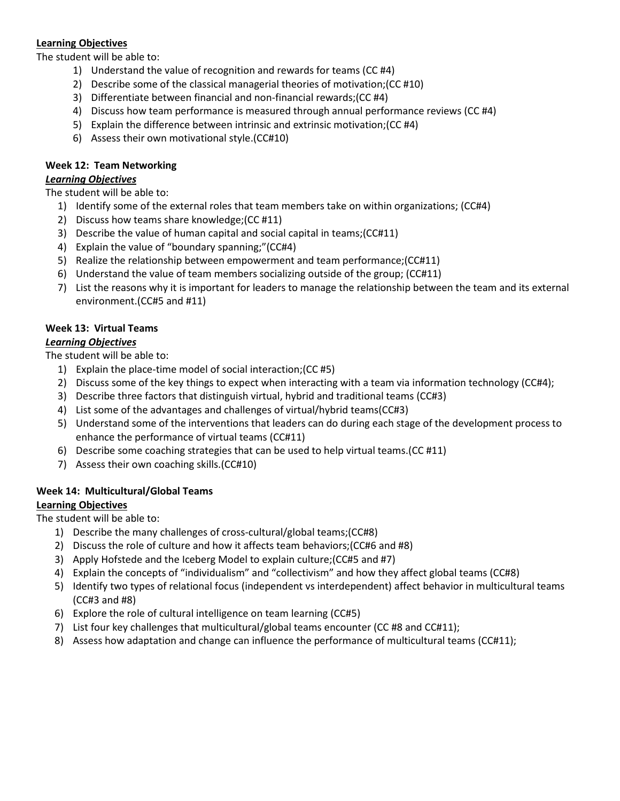#### **Learning Objectives**

The student will be able to:

- 1) Understand the value of recognition and rewards for teams (CC #4)
- 2) Describe some of the classical managerial theories of motivation;(CC #10)
- 3) Differentiate between financial and non-financial rewards;(CC #4)
- 4) Discuss how team performance is measured through annual performance reviews (CC #4)
- 5) Explain the difference between intrinsic and extrinsic motivation;(CC #4)
- 6) Assess their own motivational style.(CC#10)

#### **Week 12: Team Networking**

#### *Learning Objectives*

The student will be able to:

- 1) Identify some of the external roles that team members take on within organizations; (CC#4)
- 2) Discuss how teams share knowledge;(CC #11)
- 3) Describe the value of human capital and social capital in teams;(CC#11)
- 4) Explain the value of "boundary spanning;"(CC#4)
- 5) Realize the relationship between empowerment and team performance;(CC#11)
- 6) Understand the value of team members socializing outside of the group; (CC#11)
- 7) List the reasons why it is important for leaders to manage the relationship between the team and its external environment.(CC#5 and #11)

## **Week 13: Virtual Teams**

#### *Learning Objectives*

The student will be able to:

- 1) Explain the place-time model of social interaction;(CC #5)
- 2) Discuss some of the key things to expect when interacting with a team via information technology (CC#4);
- 3) Describe three factors that distinguish virtual, hybrid and traditional teams (CC#3)
- 4) List some of the advantages and challenges of virtual/hybrid teams(CC#3)
- 5) Understand some of the interventions that leaders can do during each stage of the development process to enhance the performance of virtual teams (CC#11)
- 6) Describe some coaching strategies that can be used to help virtual teams.(CC #11)
- 7) Assess their own coaching skills.(CC#10)

#### **Week 14: Multicultural/Global Teams**

#### **Learning Objectives**

The student will be able to:

- 1) Describe the many challenges of cross-cultural/global teams;(CC#8)
- 2) Discuss the role of culture and how it affects team behaviors;(CC#6 and #8)
- 3) Apply Hofstede and the Iceberg Model to explain culture;(CC#5 and #7)
- 4) Explain the concepts of "individualism" and "collectivism" and how they affect global teams (CC#8)
- 5) Identify two types of relational focus (independent vs interdependent) affect behavior in multicultural teams (CC#3 and #8)
- 6) Explore the role of cultural intelligence on team learning (CC#5)
- 7) List four key challenges that multicultural/global teams encounter (CC #8 and CC#11);
- 8) Assess how adaptation and change can influence the performance of multicultural teams (CC#11);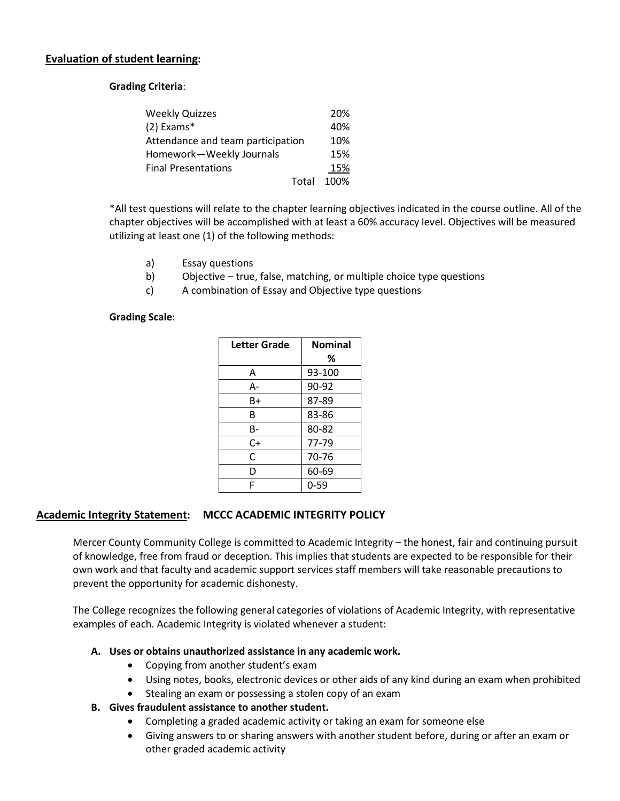#### **Evaluation of student learning:**

**Grading Criteria**:

| <b>Weekly Quizzes</b>             | 20%        |
|-----------------------------------|------------|
| $(2)$ Exams*                      | 40%        |
| Attendance and team participation | 10%        |
| Homework-Weekly Journals          | 15%        |
| <b>Final Presentations</b>        | 15%        |
|                                   | Total 100% |

\*All test questions will relate to the chapter learning objectives indicated in the course outline. All of the chapter objectives will be accomplished with at least a 60% accuracy level. Objectives will be measured utilizing at least one (1) of the following methods:

- a) Essay questions
- b) Objective true, false, matching, or multiple choice type questions
- c) A combination of Essay and Objective type questions

#### **Grading Scale**:

| <b>Letter Grade</b> | <b>Nominal</b> |
|---------------------|----------------|
|                     | ℅              |
| А                   | 93-100         |
| А-                  | 90-92          |
| B+                  | 87-89          |
| В                   | 83-86          |
| B-                  | 80-82          |
| $C+$                | 77-79          |
| C                   | 70-76          |
| D                   | 60-69          |
| F                   | $0 - 59$       |

#### **Academic Integrity Statement: MCCC ACADEMIC INTEGRITY POLICY**

Mercer County Community College is committed to Academic Integrity – the honest, fair and continuing pursuit of knowledge, free from fraud or deception. This implies that students are expected to be responsible for their own work and that faculty and academic support services staff members will take reasonable precautions to prevent the opportunity for academic dishonesty.

The College recognizes the following general categories of violations of Academic Integrity, with representative examples of each. Academic Integrity is violated whenever a student:

#### **A. Uses or obtains unauthorized assistance in any academic work.**

- Copying from another student's exam
- Using notes, books, electronic devices or other aids of any kind during an exam when prohibited
- Stealing an exam or possessing a stolen copy of an exam
- **B. Gives fraudulent assistance to another student.**
	- Completing a graded academic activity or taking an exam for someone else
	- Giving answers to or sharing answers with another student before, during or after an exam or other graded academic activity